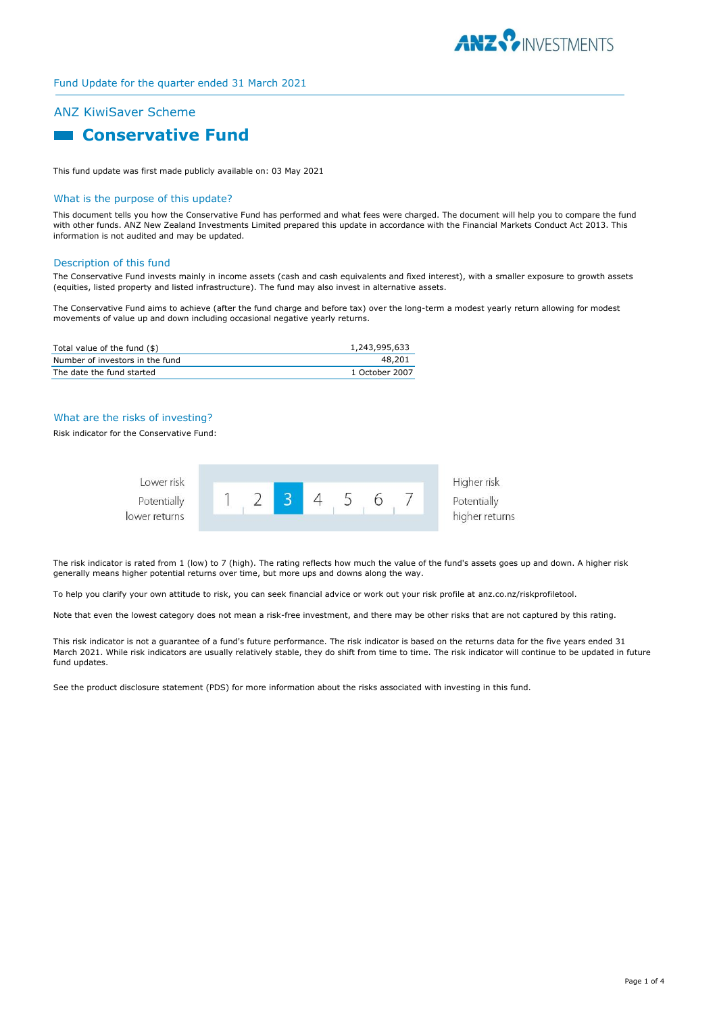

# ANZ KiwiSaver Scheme

# **Conservative Fund**

This fund update was first made publicly available on: 03 May 2021

#### What is the purpose of this update?

This document tells you how the Conservative Fund has performed and what fees were charged. The document will help you to compare the fund with other funds. ANZ New Zealand Investments Limited prepared this update in accordance with the Financial Markets Conduct Act 2013. This information is not audited and may be updated.

#### Description of this fund

The Conservative Fund invests mainly in income assets (cash and cash equivalents and fixed interest), with a smaller exposure to growth assets (equities, listed property and listed infrastructure). The fund may also invest in alternative assets.

The Conservative Fund aims to achieve (after the fund charge and before tax) over the long-term a modest yearly return allowing for modest movements of value up and down including occasional negative yearly returns.

| Total value of the fund (\$)    | 1,243,995,633  |
|---------------------------------|----------------|
| Number of investors in the fund | 48,201         |
| The date the fund started       | 1 October 2007 |

### What are the risks of investing?

Risk indicator for the Conservative Fund:



The risk indicator is rated from 1 (low) to 7 (high). The rating reflects how much the value of the fund's assets goes up and down. A higher risk generally means higher potential returns over time, but more ups and downs along the way.

To help you clarify your own attitude to risk, you can seek financial advice or work out your risk profile at anz.co.nz/riskprofiletool.

Note that even the lowest category does not mean a risk-free investment, and there may be other risks that are not captured by this rating.

This risk indicator is not a guarantee of a fund's future performance. The risk indicator is based on the returns data for the five years ended 31 March 2021. While risk indicators are usually relatively stable, they do shift from time to time. The risk indicator will continue to be updated in future fund updates.

See the product disclosure statement (PDS) for more information about the risks associated with investing in this fund.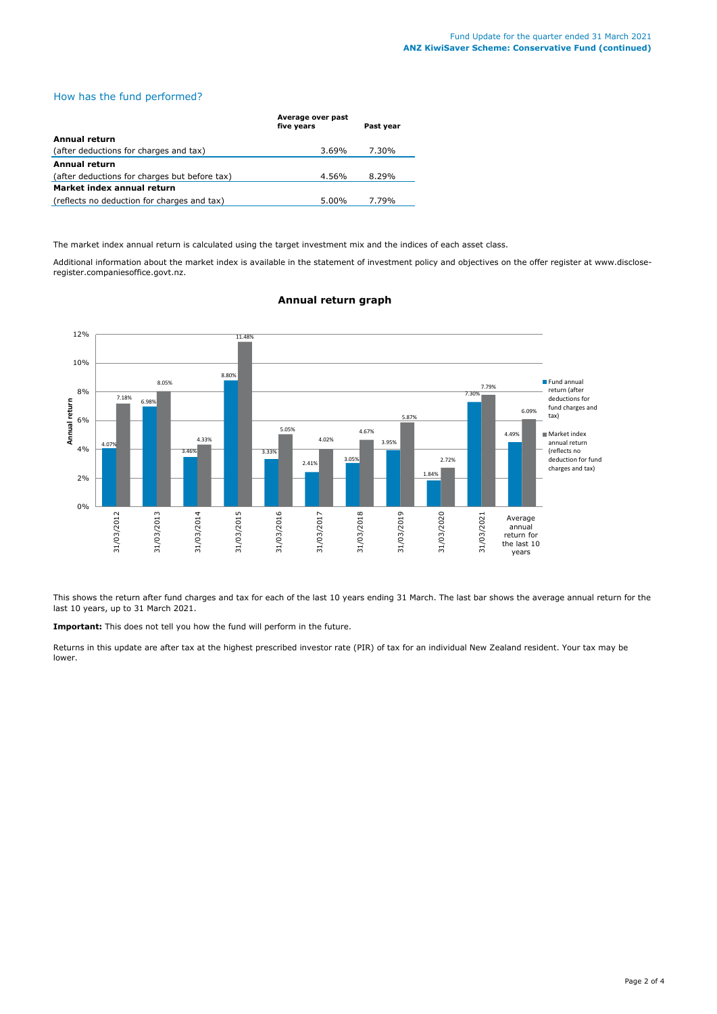# How has the fund performed?

|                                               | Average over past<br>five years | Past year |
|-----------------------------------------------|---------------------------------|-----------|
| Annual return                                 |                                 |           |
| (after deductions for charges and tax)        | $3.69\%$                        | 7.30%     |
| Annual return                                 |                                 |           |
| (after deductions for charges but before tax) | 4.56%                           | 8.29%     |
| Market index annual return                    |                                 |           |
| (reflects no deduction for charges and tax)   | 5.00%                           | 7.79%     |

The market index annual return is calculated using the target investment mix and the indices of each asset class.

Additional information about the market index is available in the statement of investment policy and objectives on the offer register at www.discloseregister.companiesoffice.govt.nz.



### **Annual return graph**

This shows the return after fund charges and tax for each of the last 10 years ending 31 March. The last bar shows the average annual return for the last 10 years, up to 31 March 2021.

**Important:** This does not tell you how the fund will perform in the future.

Returns in this update are after tax at the highest prescribed investor rate (PIR) of tax for an individual New Zealand resident. Your tax may be lower.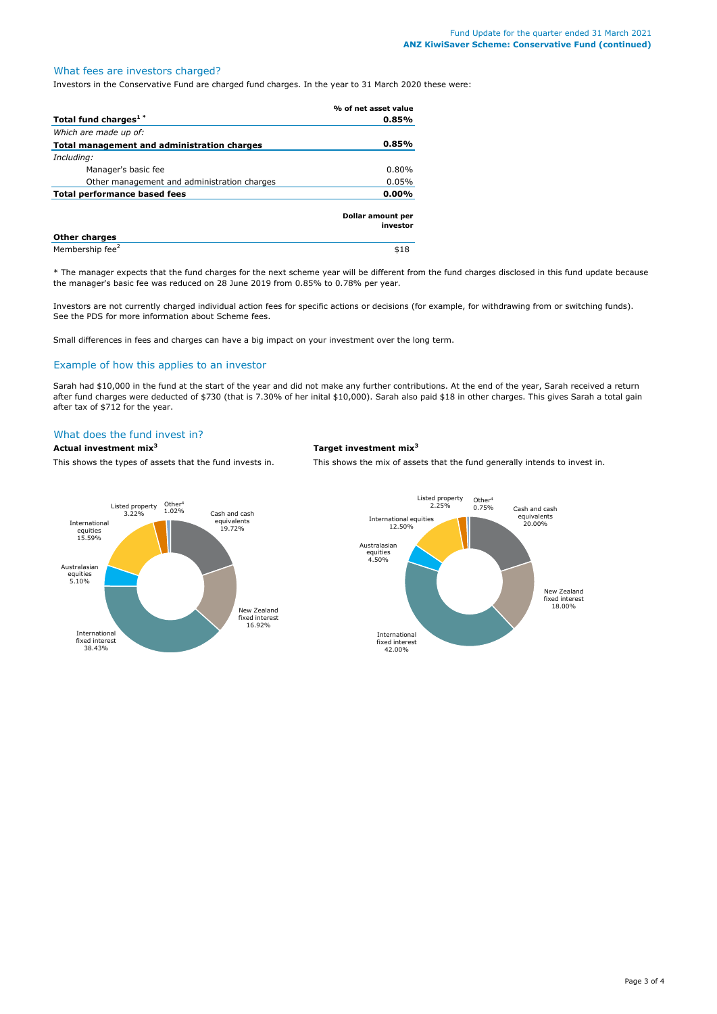# What fees are investors charged?

Investors in the Conservative Fund are charged fund charges. In the year to 31 March 2020 these were:

|                                             | % of net asset value          |
|---------------------------------------------|-------------------------------|
| Total fund charges <sup>1*</sup>            | 0.85%                         |
| Which are made up of:                       |                               |
| Total management and administration charges | 0.85%                         |
| Including:                                  |                               |
| Manager's basic fee                         | $0.80\%$                      |
| Other management and administration charges | 0.05%                         |
| <b>Total performance based fees</b>         | $0.00\%$                      |
|                                             | Dollar amount per<br>investor |
| <b>Other charges</b>                        |                               |
| Membership fee <sup>2</sup>                 | \$18                          |

\* The manager expects that the fund charges for the next scheme year will be different from the fund charges disclosed in this fund update because the manager's basic fee was reduced on 28 June 2019 from 0.85% to 0.78% per year.

Investors are not currently charged individual action fees for specific actions or decisions (for example, for withdrawing from or switching funds). See the PDS for more information about Scheme fees.

Small differences in fees and charges can have a big impact on your investment over the long term.

#### Example of how this applies to an investor

Sarah had \$10,000 in the fund at the start of the year and did not make any further contributions. At the end of the year, Sarah received a return after fund charges were deducted of \$730 (that is 7.30% of her inital \$10,000). Sarah also paid \$18 in other charges. This gives Sarah a total gain after tax of \$712 for the year.

#### What does the fund invest in?

**Actual investment mix<sup>3</sup> Target investment mix<sup>3</sup>**

This shows the types of assets that the fund invests in. This shows the mix of assets that the fund generally intends to invest in.